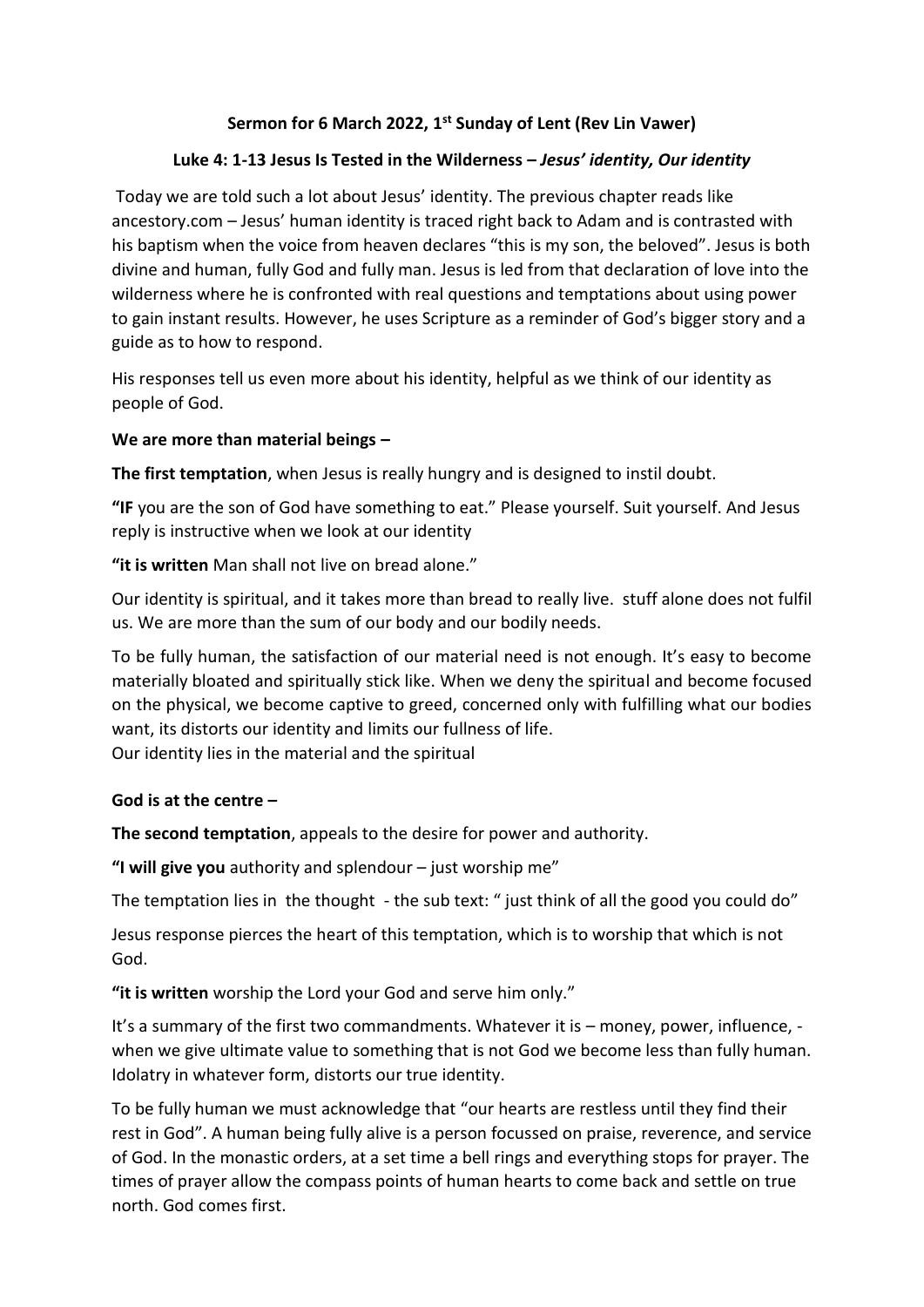# **Sermon for 6 March 2022, 1st Sunday of Lent (Rev Lin Vawer)**

# **Luke 4: 1-13 Jesus Is Tested in the Wilderness –** *Jesus' identity, Our identity*

Today we are told such a lot about Jesus' identity. The previous chapter reads like ancestory.com – Jesus' human identity is traced right back to Adam and is contrasted with his baptism when the voice from heaven declares "this is my son, the beloved". Jesus is both divine and human, fully God and fully man. Jesus is led from that declaration of love into the wilderness where he is confronted with real questions and temptations about using power to gain instant results. However, he uses Scripture as a reminder of God's bigger story and a guide as to how to respond.

His responses tell us even more about his identity, helpful as we think of our identity as people of God.

## **We are more than material beings –**

**The first temptation**, when Jesus is really hungry and is designed to instil doubt.

**"IF** you are the son of God have something to eat." Please yourself. Suit yourself. And Jesus reply is instructive when we look at our identity

**"it is written** Man shall not live on bread alone."

Our identity is spiritual, and it takes more than bread to really live. stuff alone does not fulfil us. We are more than the sum of our body and our bodily needs.

To be fully human, the satisfaction of our material need is not enough. It's easy to become materially bloated and spiritually stick like. When we deny the spiritual and become focused on the physical, we become captive to greed, concerned only with fulfilling what our bodies want, its distorts our identity and limits our fullness of life.

Our identity lies in the material and the spiritual

## **God is at the centre –**

**The second temptation**, appeals to the desire for power and authority.

**"I will give you** authority and splendour – just worship me"

The temptation lies in the thought - the sub text: " just think of all the good you could do"

Jesus response pierces the heart of this temptation, which is to worship that which is not God.

**"it is written** worship the Lord your God and serve him only."

It's a summary of the first two commandments. Whatever it is – money, power, influence, when we give ultimate value to something that is not God we become less than fully human. Idolatry in whatever form, distorts our true identity.

To be fully human we must acknowledge that "our hearts are restless until they find their rest in God". A human being fully alive is a person focussed on praise, reverence, and service of God. In the monastic orders, at a set time a bell rings and everything stops for prayer. The times of prayer allow the compass points of human hearts to come back and settle on true north. God comes first.